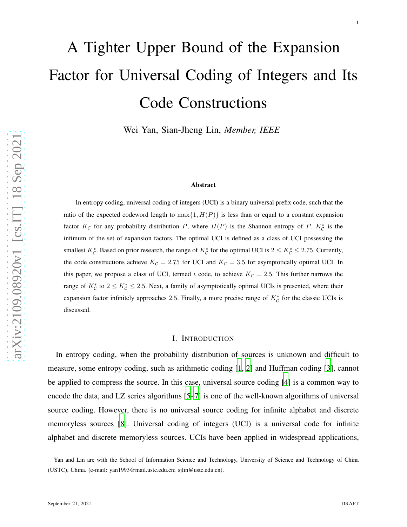# A Tighter Upper Bound of the Expansion Factor for Universal Coding of Integers and Its Code Constructions

Wei Yan, Sian-Jheng Lin, *Member, IEEE*

### Abstract

In entropy coding, universal coding of integers (UCI) is a binary universal prefix code, such that the ratio of the expected codeword length to  $\max\{1, H(P)\}\$  is less than or equal to a constant expansion factor  $K_c$  for any probability distribution P, where  $H(P)$  is the Shannon entropy of P.  $K_c^*$  is the infimum of the set of expansion factors. The optimal UCI is defined as a class of UCI possessing the smallest  $K_C^*$ . Based on prior research, the range of  $K_C^*$  for the optimal UCI is  $2 \le K_C^* \le 2.75$ . Currently, the code constructions achieve  $K_c = 2.75$  for UCI and  $K_c = 3.5$  for asymptotically optimal UCI. In this paper, we propose a class of UCI, termed  $\iota$  code, to achieve  $K_c = 2.5$ . This further narrows the range of  $K_C^*$  to  $2 \le K_C^* \le 2.5$ . Next, a family of asymptotically optimal UCIs is presented, where their expansion factor infinitely approaches 2.5. Finally, a more precise range of  $K_C^*$  for the classic UCIs is discussed.

# I. INTRODUCTION

In entropy coding, when the probability distribution of sources is unknown and difficult to measure, some entropy coding, such as arithmetic coding [\[1,](#page-18-0) [2](#page-18-1)] and Huffman coding [\[3\]](#page-18-2), cannot be applied to compress the source. In this case, universal source coding [\[4\]](#page-18-3) is a common way to encode the data, and LZ series algorithms [\[5](#page-18-4)[–7\]](#page-18-5) is one of the well-known algorithms of universal source coding. However, there is no universal source coding for infinite alphabet and discrete memoryless sources [\[8](#page-19-0)]. Universal coding of integers (UCI) is a universal code for infinite alphabet and discrete memoryless sources. UCIs have been applied in widespread applications,

Yan and Lin are with the School of Information Science and Technology, University of Science and Technology of China (USTC), China. (e-mail: yan1993@mail.ustc.edu.cn; sjlin@ustc.edu.cn).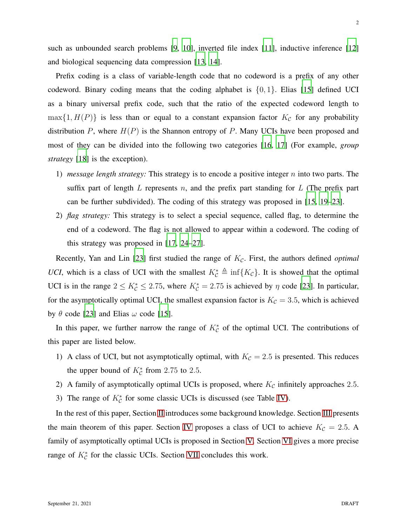such as unbounded search problems [\[9,](#page-19-1) [10\]](#page-19-2), inverted file index [\[11\]](#page-19-3), inductive inference [\[12](#page-19-4)] and biological sequencing data compression [\[13](#page-19-5), [14](#page-19-6)].

Prefix coding is a class of variable-length code that no codeword is a prefix of any other codeword. Binary coding means that the coding alphabet is  $\{0, 1\}$ . Elias [\[15](#page-19-7)] defined UCI as a binary universal prefix code, such that the ratio of the expected codeword length to  $\max\{1, H(P)\}\$ is less than or equal to a constant expansion factor  $K_c$  for any probability distribution  $P$ , where  $H(P)$  is the Shannon entropy of  $P$ . Many UCIs have been proposed and most of they can be divided into the following two categories [\[16](#page-19-8), [17\]](#page-19-9) (For example, *group strategy* [\[18\]](#page-19-10) is the exception).

- 1) *message length strategy:* This strategy is to encode a positive integer n into two parts. The suffix part of length L represents n, and the prefix part standing for L (The prefix part can be further subdivided). The coding of this strategy was proposed in [\[15](#page-19-7), [19](#page-19-11)[–23\]](#page-20-0).
- 2) *flag strategy:* This strategy is to select a special sequence, called flag, to determine the end of a codeword. The flag is not allowed to appear within a codeword. The coding of this strategy was proposed in [\[17](#page-19-9), [24](#page-20-1)[–27\]](#page-20-2).

Recently, Yan and Lin [\[23\]](#page-20-0) first studied the range of  $K_c$ . First, the authors defined *optimal UCI*, which is a class of UCI with the smallest  $K_{\mathcal{C}}^* \triangleq \inf\{K_{\mathcal{C}}\}\$ . It is showed that the optimal UCI is in the range  $2 \le K_C^* \le 2.75$ , where  $K_C^* = 2.75$  is achieved by  $\eta$  code [\[23\]](#page-20-0). In particular, for the asymptotically optimal UCI, the smallest expansion factor is  $K_c = 3.5$ , which is achieved by  $\theta$  code [\[23\]](#page-20-0) and Elias  $\omega$  code [\[15](#page-19-7)].

In this paper, we further narrow the range of  $K_C^*$  of the optimal UCI. The contributions of this paper are listed below.

- 1) A class of UCI, but not asymptotically optimal, with  $K_c = 2.5$  is presented. This reduces the upper bound of  $K_c^*$  from 2.75 to 2.5.
- 2) A family of asymptotically optimal UCIs is proposed, where  $K_c$  infinitely approaches 2.5.
- 3) The range of  $K_C^*$  for some classic UCIs is discussed (see Table [IV\)](#page-18-6).

In the rest of this paper, Section [II](#page-2-0) introduces some background knowledge. Section [III](#page-3-0) presents the main theorem of this paper. Section [IV](#page-7-0) proposes a class of UCI to achieve  $K_c = 2.5$ . A family of asymptotically optimal UCIs is proposed in Section [V.](#page-9-0) Section [VI](#page-14-0) gives a more precise range of  $K_C^*$  for the classic UCIs. Section [VII](#page-17-0) concludes this work.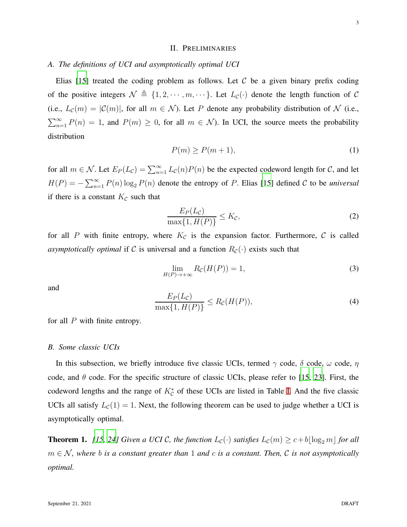# II. PRELIMINARIES

# <span id="page-2-0"></span>*A. The definitions of UCI and asymptotically optimal UCI*

Elias  $[15]$  treated the coding problem as follows. Let C be a given binary prefix coding of the positive integers  $\mathcal{N} \triangleq \{1, 2, \cdots, m, \cdots\}$ . Let  $L_{\mathcal{C}}(\cdot)$  denote the length function of  $\mathcal{C}$ (i.e.,  $L_{\mathcal{C}}(m) = |\mathcal{C}(m)|$ , for all  $m \in \mathcal{N}$ ). Let P denote any probability distribution of N (i.e.,  $\sum_{n=1}^{\infty} P(n) = 1$ , and  $P(m) \ge 0$ , for all  $m \in \mathcal{N}$ ). In UCI, the source meets the probability distribution

$$
P(m) \ge P(m+1),\tag{1}
$$

for all  $m \in \mathcal{N}$ . Let  $E_P(L_{\mathcal{C}}) = \sum_{n=1}^{\infty} L_{\mathcal{C}}(n)P(n)$  be the expected codeword length for  $\mathcal{C}$ , and let  $H(P) = -\sum_{n=1}^{\infty} P(n) \log_2 P(n)$  denote the entropy of P. Elias [\[15\]](#page-19-7) defined C to be *universal* if there is a constant  $K_{\mathcal{C}}$  such that

$$
\frac{E_P(L_{\mathcal{C}})}{\max\{1, H(P)\}} \le K_{\mathcal{C}},\tag{2}
$$

for all P with finite entropy, where  $K<sub>C</sub>$  is the expansion factor. Furthermore, C is called *asymptotically optimal* if C is universal and a function  $R_{\mathcal{C}}(\cdot)$  exists such that

$$
\lim_{H(P)\to+\infty} R_{\mathcal{C}}(H(P)) = 1,\tag{3}
$$

and

$$
\frac{E_P(L_{\mathcal{C}})}{\max\{1, H(P)\}} \le R_{\mathcal{C}}(H(P)),\tag{4}
$$

for all  $P$  with finite entropy.

# *B. Some classic UCIs*

In this subsection, we briefly introduce five classic UCIs, termed  $\gamma$  code,  $\delta$  code,  $\omega$  code,  $\eta$ code, and  $\theta$  code. For the specific structure of classic UCIs, please refer to [\[15](#page-19-7), [23\]](#page-20-0). First, the codeword lengths and the range of  $K_C^*$  of these UCIs are listed in Table [I.](#page-3-1) And the five classic UCIs all satisfy  $L_{\mathcal{C}}(1) = 1$ . Next, the following theorem can be used to judge whether a UCI is asymptotically optimal.

<span id="page-2-1"></span>**Theorem 1.** [\[15,](#page-19-7) [24\]](#page-20-1) Given a UCI C, the function  $L_c(\cdot)$  satisfies  $L_c(m) \geq c + b \lfloor \log_2 m \rfloor$  for all  $m \in \mathcal{N}$ , where b is a constant greater than 1 and c is a constant. Then, C is not asymptotically *optimal.*

3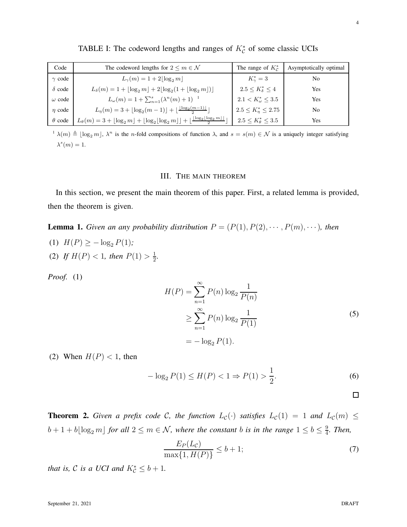| Code          | The codeword lengths for $2 \le m \in \mathcal{N}$                                                                                                           | The range of $K_c^*$           | Asymptotically optimal |
|---------------|--------------------------------------------------------------------------------------------------------------------------------------------------------------|--------------------------------|------------------------|
| $\gamma$ code | $L_{\gamma}(m) = 1 + 2 \log_2 m $                                                                                                                            | $K_{\gamma}^* = 3$             | No                     |
| $\delta$ code | $L_{\delta}(m) = 1 +  \log_2 m  + 2 \log_2(1 +  \log_2 m ) $                                                                                                 | $2.5 \leq K^*_{\delta} \leq 4$ | <b>Yes</b>             |
| $\omega$ code | $L_{\omega}(m) = 1 + \sum_{n=1}^{s} (\lambda^{n}(m) + 1)^{-1}$                                                                                               | $2.1 < K^*_{\omega} \leq 3.5$  | Yes                    |
| $\eta$ code   | $L_{\eta}(m) = 3 + \lfloor \log_2(m-1) \rfloor + \lfloor \frac{\lfloor \log_2(m-1) \rfloor}{2} \rfloor$                                                      | $2.5 \leq K_n^* \leq 2.75$     | No                     |
| $\theta$ code | $L_{\theta}(m) = 3 + \lfloor \log_2 m \rfloor + \lfloor \log_2 \lfloor \log_2 m \rfloor + \lfloor \frac{\lfloor \log_2 \lfloor \log_2 m \rfloor}{2} \rfloor$ | $2.5 \le K^*_{\theta} \le 3.5$ | Yes                    |

<span id="page-3-1"></span>TABLE I: The codeword lengths and ranges of  $K_C^*$  of some classic UCIs

<span id="page-3-0"></span> $\lambda(m) \triangleq \lfloor \log_2 m \rfloor$ ,  $\lambda^n$  is the *n*-fold compositions of function  $\lambda$ , and  $s = s(m) \in \mathcal{N}$  is a uniquely integer satisfying  $\lambda^s(m) = 1.$ 

# III. THE MAIN THEOREM

In this section, we present the main theorem of this paper. First, a related lemma is provided, then the theorem is given.

<span id="page-3-2"></span>**Lemma 1.** *Given an any probability distribution*  $P = (P(1), P(2), \cdots, P(m), \cdots)$ *, then* 

(1)  $H(P) \ge -\log_2 P(1)$ ; (2) If  $H(P) < 1$ , then  $P(1) > \frac{1}{2}$  $\frac{1}{2}$ .

*Proof.* (1)

$$
H(P) = \sum_{n=1}^{\infty} P(n) \log_2 \frac{1}{P(n)}
$$
  
\n
$$
\geq \sum_{n=1}^{\infty} P(n) \log_2 \frac{1}{P(1)}
$$
  
\n
$$
= -\log_2 P(1).
$$
 (5)

(2) When  $H(P) < 1$ , then

$$
-\log_2 P(1) \le H(P) < 1 \Rightarrow P(1) > \frac{1}{2}.\tag{6}
$$

 $\Box$ 

<span id="page-3-3"></span>**Theorem 2.** Given a prefix code C, the function  $L_c(\cdot)$  satisfies  $L_c(1) = 1$  and  $L_c(m) \le$  $b + 1 + b \lfloor \log_2 m \rfloor$  *for all*  $2 \le m \in \mathcal{N}$ *, where the constant b is in the range*  $1 \le b \le \frac{9}{4}$ 4 *. Then,*

$$
\frac{E_P(L_{\mathcal{C}})}{\max\{1, H(P)\}} \le b + 1;\tag{7}
$$

*that is,*  $C$  *is a UCI and*  $K_C^* \leq b + 1$ *.*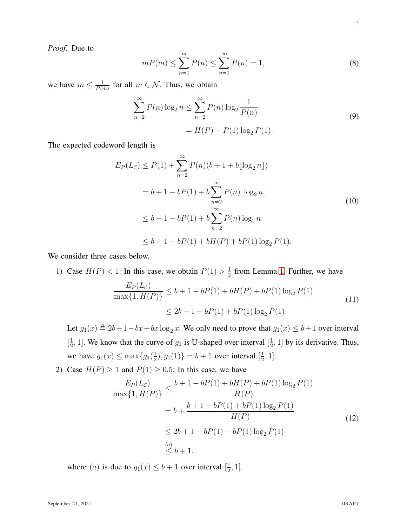*Proof.* Due to

$$
mP(m) \le \sum_{n=1}^{m} P(n) \le \sum_{n=1}^{\infty} P(n) = 1,
$$
\n(8)

we have  $m \leq \frac{1}{P(r)}$  $\frac{1}{P(m)}$  for all  $m \in \mathcal{N}$ . Thus, we obtain

<span id="page-4-0"></span>
$$
\sum_{n=2}^{\infty} P(n) \log_2 n \le \sum_{n=2}^{\infty} P(n) \log_2 \frac{1}{P(n)}
$$
  
=  $H(P) + P(1) \log_2 P(1)$ . (9)

The expected codeword length is

$$
E_P(L_{\mathcal{C}}) \le P(1) + \sum_{n=2}^{\infty} P(n)(b+1+b\lfloor \log_2 n \rfloor)
$$
  
= b + 1 - bP(1) + b \sum\_{n=2}^{\infty} P(n)\lfloor \log\_2 n \rfloor  

$$
\le b + 1 - bP(1) + b \sum_{n=2}^{\infty} P(n) \log_2 n
$$
  

$$
\le b + 1 - bP(1) + bH(P) + bP(1) \log_2 P(1).
$$
 (10)

We consider three cases below.

1) Case  $H(P) < 1$ : In this case, we obtain  $P(1) > \frac{1}{2}$  $\frac{1}{2}$  from Lemma [1.](#page-3-2) Further, we have

$$
\frac{E_P(L_{\mathcal{C}})}{\max\{1, H(P)\}} \le b + 1 - bP(1) + bH(P) + bP(1)\log_2 P(1)
$$
\n
$$
\le 2b + 1 - bP(1) + bP(1)\log_2 P(1).
$$
\n(11)

Let  $g_1(x) \triangleq 2b + 1 - bx + bx \log_2 x$ . We only need to prove that  $g_1(x) \leq b+1$  over interval  $\left[\frac{1}{2}\right]$  $\frac{1}{2}$ , 1]. We know that the curve of  $g_1$  is U-shaped over interval  $\left[\frac{1}{2},\frac{1}{2}\right]$  $\frac{1}{2}$ , 1] by its derivative. Thus, we have  $g_1(x) \leq \max\{g_1(\frac{1}{2})\}$  $(\frac{1}{2}), g_1(1) \} = b + 1$  over interval  $[\frac{1}{2}]$  $\frac{1}{2}$ , 1].

2) Case  $H(P) \ge 1$  and  $P(1) \ge 0.5$ : In this case, we have

$$
\frac{E_P(L_{\mathcal{C}})}{\max\{1, H(P)\}} \le \frac{b + 1 - bP(1) + bH(P) + bP(1)\log_2 P(1)}{H(P)}
$$
  
=  $b + \frac{b + 1 - bP(1) + bP(1)\log_2 P(1)}{H(P)}$   
 $\le 2b + 1 - bP(1) + bP(1)\log_2 P(1)$   
 $\stackrel{(a)}{\le} b + 1.$  (12)

where (*a*) is due to  $g_1(x) \leq b+1$  over interval  $\left[\frac{1}{2}\right]$  $\frac{1}{2}, 1].$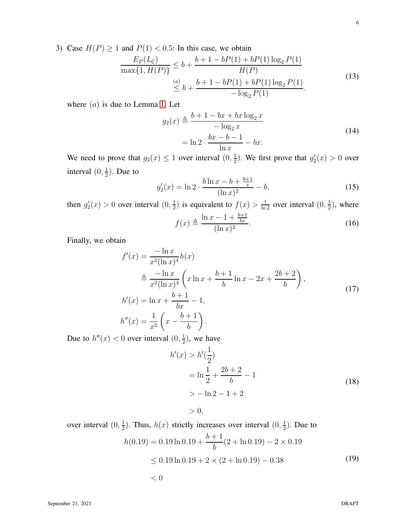6

3) Case  $H(P) \ge 1$  and  $P(1) < 0.5$ : In this case, we obtain

$$
\frac{E_P(L_{\mathcal{C}})}{\max\{1, H(P)\}} \le b + \frac{b + 1 - bP(1) + bP(1)\log_2 P(1)}{H(P)} \n\le \frac{(a)}{b} + \frac{b + 1 - bP(1) + bP(1)\log_2 P(1)}{-\log_2 P(1)}.
$$
\n(13)

where  $(a)$  is due to Lemma [1.](#page-3-2) Let

$$
g_2(x) \triangleq \frac{b+1-bx+bx\log_2 x}{-\log_2 x}
$$
  
=  $\ln 2 \cdot \frac{bx-b-1}{\ln x} - bx.$  (14)

We need to prove that  $g_2(x) \leq 1$  over interval  $(0, \frac{1}{2})$  $\frac{1}{2}$ ). We first prove that  $g'_2(x) > 0$  over interval  $(0, \frac{1}{2})$  $\frac{1}{2}$ ). Due to

$$
g_2'(x) = \ln 2 \cdot \frac{b \ln x - b + \frac{b+1}{x}}{(\ln x)^2} - b,\tag{15}
$$

then  $g'_2(x) > 0$  over interval  $(0, \frac{1}{2})$  $\frac{1}{2}$ ) is equivalent to  $f(x) > \frac{1}{\ln 2}$  over interval  $(0, \frac{1}{2})$  $\frac{1}{2}$ ), where  $f(x) \triangleq \frac{\ln x - 1 + \frac{b+1}{bx}}{(1-x)^2}$  $(\ln x)^2$ . (16)

Finally, we obtain

$$
f'(x) = \frac{-\ln x}{x^2(\ln x)^4} h(x)
$$
  
\n
$$
\stackrel{\triangle}{=} \frac{-\ln x}{x^2(\ln x)^4} \left( x \ln x + \frac{b+1}{b} \ln x - 2x + \frac{2b+2}{b} \right),
$$
  
\n
$$
h'(x) = \ln x + \frac{b+1}{bx} - 1,
$$
  
\n
$$
h''(x) = \frac{1}{x^2} \left( x - \frac{b+1}{b} \right).
$$
\n(17)

Due to  $h''(x) < 0$  over interval  $(0, \frac{1}{2})$  $\frac{1}{2}$ ), we have

$$
h'(x) > h'(\frac{1}{2})
$$
  
=  $\ln \frac{1}{2} + \frac{2b+2}{b} - 1$   
>  $-\ln 2 - 1 + 2$  (18)

 $> 0$ .

over interval  $(0, \frac{1}{2})$  $\frac{1}{2}$ ). Thus,  $h(x)$  strictly increases over interval  $(0, \frac{1}{2})$  $\frac{1}{2}$ ). Due to

$$
h(0.19) = 0.19 \ln 0.19 + \frac{b+1}{b}(2 + \ln 0.19) - 2 \times 0.19
$$
  
\n
$$
\le 0.19 \ln 0.19 + 2 \times (2 + \ln 0.19) - 0.38
$$
  
\n
$$
< 0
$$
\n(19)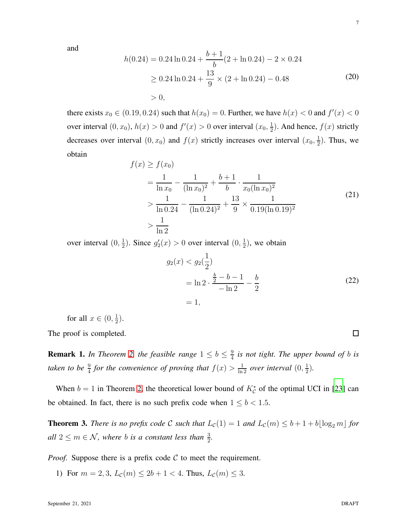and

$$
h(0.24) = 0.24 \ln 0.24 + \frac{b+1}{b}(2 + \ln 0.24) - 2 \times 0.24
$$
  
\n
$$
\ge 0.24 \ln 0.24 + \frac{13}{9} \times (2 + \ln 0.24) - 0.48
$$
  
\n
$$
> 0,
$$
\n(20)

there exists  $x_0 \in (0.19, 0.24)$  such that  $h(x_0) = 0$ . Further, we have  $h(x) < 0$  and  $f'(x) < 0$ over interval  $(0, x_0)$ ,  $h(x) > 0$  and  $f'(x) > 0$  over interval  $(x_0, \frac{1}{2})$  $\frac{1}{2}$ ). And hence,  $f(x)$  strictly decreases over interval  $(0, x_0)$  and  $f(x)$  strictly increases over interval  $(x_0, \frac{1}{2})$  $\frac{1}{2}$ ). Thus, we obtain

$$
f(x) \ge f(x_0)
$$
  
=  $\frac{1}{\ln x_0} - \frac{1}{(\ln x_0)^2} + \frac{b+1}{b} \cdot \frac{1}{x_0(\ln x_0)^2}$   
>  $\frac{1}{\ln 0.24} - \frac{1}{(\ln 0.24)^2} + \frac{13}{9} \times \frac{1}{0.19(\ln 0.19)^2}$  (21)  
>  $\frac{1}{\ln 2}$ 

over interval  $(0, \frac{1}{2})$  $\frac{1}{2}$ ). Since  $g'_2(x) > 0$  over interval  $(0, \frac{1}{2})$  $\frac{1}{2}$ ), we obtain

$$
g_2(x) < g_2\left(\frac{1}{2}\right) \\
= \ln 2 \cdot \frac{\frac{b}{2} - b - 1}{-\ln 2} - \frac{b}{2} \\
= 1,\n\tag{22}
$$

for all  $x \in (0, \frac{1}{2})$  $(\frac{1}{2})$ .

The proof is completed.

**Remark 1.** In Theorem [2,](#page-3-3) the feasible range  $1 \leq b \leq \frac{9}{4}$  $\frac{9}{4}$  *is not tight. The upper bound of b is* taken to be  $\frac{9}{4}$  for the convenience of proving that  $f(x) > \frac{1}{\ln 2}$  over interval  $(0, \frac{1}{2})$  $\frac{1}{2}$ .

When  $b = 1$  in Theorem [2,](#page-3-3) the theoretical lower bound of  $K_c^*$  of the optimal UCI in [\[23\]](#page-20-0) can be obtained. In fact, there is no such prefix code when  $1 \leq b < 1.5$ .

**Theorem 3.** *There is no prefix code* C *such that*  $L_c(1) = 1$  *and*  $L_c(m) \leq b + 1 + b\lfloor \log_2 m \rfloor$  *for all*  $2 \le m \in \mathcal{N}$ , where *b is a constant less than*  $\frac{3}{2}$ .

*Proof.* Suppose there is a prefix code  $C$  to meet the requirement.

1) For  $m = 2, 3, L_{\mathcal{C}}(m) \le 2b + 1 < 4$ . Thus,  $L_{\mathcal{C}}(m) \le 3$ .

 $\Box$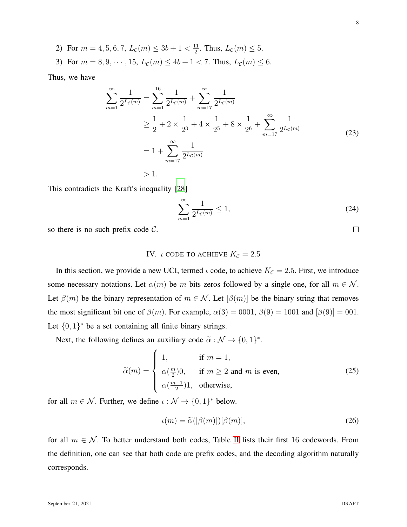2) For  $m = 4, 5, 6, 7, L_{\mathcal{C}}(m) \leq 3b + 1 < \frac{11}{2}$  $\frac{11}{2}$ . Thus,  $L_{\mathcal{C}}(m) \leq 5$ .

3) For  $m = 8, 9, \dots, 15, L_c(m) \le 4b + 1 < 7$ . Thus,  $L_c(m) \le 6$ .

Thus, we have

$$
\sum_{m=1}^{\infty} \frac{1}{2^{L_c(m)}} = \sum_{m=1}^{16} \frac{1}{2^{L_c(m)}} + \sum_{m=17}^{\infty} \frac{1}{2^{L_c(m)}} \n\ge \frac{1}{2} + 2 \times \frac{1}{2^3} + 4 \times \frac{1}{2^5} + 8 \times \frac{1}{2^6} + \sum_{m=17}^{\infty} \frac{1}{2^{L_c(m)}} \n= 1 + \sum_{m=17}^{\infty} \frac{1}{2^{L_c(m)}} \n>1.
$$
\n(23)

This contradicts the Kraft's inequality [\[28](#page-20-3)]

$$
\sum_{m=1}^{\infty} \frac{1}{2^{L_c(m)}} \le 1,
$$
\n(24)

<span id="page-7-0"></span>so there is no such prefix code  $C$ .

# IV. *ι* CODE TO ACHIEVE  $K<sub>c</sub> = 2.5$

In this section, we provide a new UCI, termed  $\iota$  code, to achieve  $K_{\mathcal{C}} = 2.5$ . First, we introduce some necessary notations. Let  $\alpha(m)$  be m bits zeros followed by a single one, for all  $m \in \mathcal{N}$ . Let  $\beta(m)$  be the binary representation of  $m \in \mathcal{N}$ . Let  $[\beta(m)]$  be the binary string that removes the most significant bit one of  $\beta(m)$ . For example,  $\alpha(3) = 0001$ ,  $\beta(9) = 1001$  and  $[\beta(9)] = 001$ . Let  $\{0,1\}^*$  be a set containing all finite binary strings.

Next, the following defines an auxiliary code  $\tilde{\alpha}$  :  $\mathcal{N} \rightarrow \{0, 1\}^*$ .

$$
\widetilde{\alpha}(m) = \begin{cases}\n1, & \text{if } m = 1, \\
\alpha(\frac{m}{2})0, & \text{if } m \ge 2 \text{ and } m \text{ is even,} \\
\alpha(\frac{m-1}{2})1, & \text{otherwise,} \n\end{cases}
$$
\n(25)

for all  $m \in \mathcal{N}$ . Further, we define  $\iota : \mathcal{N} \to \{0, 1\}^*$  below.

$$
\iota(m) = \tilde{\alpha}(|\beta(m)|)[\beta(m)],\tag{26}
$$

for all  $m \in \mathcal{N}$ . To better understand both codes, Table [II](#page-8-0) lists their first 16 codewords. From the definition, one can see that both code are prefix codes, and the decoding algorithm naturally corresponds.

 $\Box$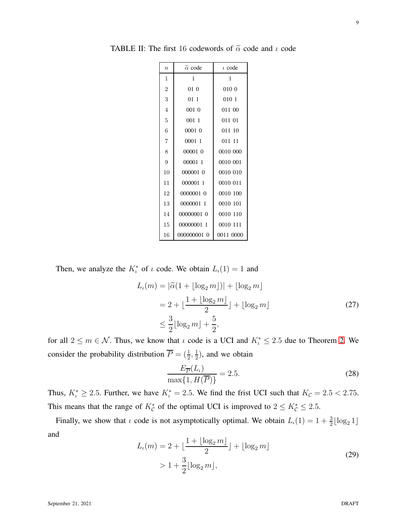| $\overline{n}$ | $\tilde{\alpha}$ code | $\iota$ code |
|----------------|-----------------------|--------------|
| $\mathbf{1}$   | 1                     | 1            |
| $\overline{2}$ | 01 0                  | 010 0        |
| 3              | 01 1                  | 0101         |
| $\overline{4}$ | 001 0                 | 011 00       |
| 5              | 001 1                 | 011 01       |
| 6              | 0001 0                | 011 10       |
| $\overline{7}$ | 0001 1                | 011 11       |
| 8              | 00001 0               | 0010 000     |
| 9              | 00001 1               | 0010 001     |
| 10             | 000001 0              | 0010 010     |
| 11             | 000001 1              | 0010 011     |
| 12             | 0000001 0             | 0010 100     |
| 13             | 0000001 1             | 0010 101     |
| 14             | 00000001 0            | 0010 110     |
| 15             | 00000001 1            | 0010 111     |
| 16             | 000000001 0           | 0011 0000    |

<span id="page-8-0"></span>TABLE II: The first 16 codewords of  $\tilde{\alpha}$  code and  $\iota$  code

Then, we analyze the  $K_t^*$  of  $\iota$  code. We obtain  $L_{\iota}(1) = 1$  and

$$
L_{\iota}(m) = |\tilde{\alpha}(1 + \lfloor \log_2 m \rfloor)| + \lfloor \log_2 m \rfloor
$$
  
= 2 +  $\lfloor \frac{1 + \lfloor \log_2 m \rfloor}{2} \rfloor + \lfloor \log_2 m \rfloor$  (27)  
 $\leq \frac{3}{2} \lfloor \log_2 m \rfloor + \frac{5}{2},$ 

for all  $2 \le m \in \mathcal{N}$ . Thus, we know that  $\iota$  code is a UCI and  $K_{\iota}^* \le 2.5$  $K_{\iota}^* \le 2.5$  $K_{\iota}^* \le 2.5$  due to Theorem 2. We consider the probability distribution  $\overline{P} = (\frac{1}{2}, \frac{1}{2})$  $\frac{1}{2}$ ), and we obtain

$$
\frac{E_{\overline{P}}(L_{\iota})}{\max\{1, H(\overline{P})\}} = 2.5.
$$
\n(28)

Thus,  $K_t^* \ge 2.5$ . Further, we have  $K_t^* = 2.5$ . We find the frist UCI such that  $K_c = 2.5 < 2.75$ . This means that the range of  $K_C^*$  of the optimal UCI is improved to  $2 \le K_C^* \le 2.5$ .

Finally, we show that  $\iota$  code is not asymptotically optimal. We obtain  $L_{\iota}(1) = 1 + \frac{3}{2} \lfloor \log_2 1 \rfloor$ and

$$
L_{\iota}(m) = 2 + \lfloor \frac{1 + \lfloor \log_2 m \rfloor}{2} \rfloor + \lfloor \log_2 m \rfloor
$$
  
> 1 +  $\frac{3}{2} \lfloor \log_2 m \rfloor$ , (29)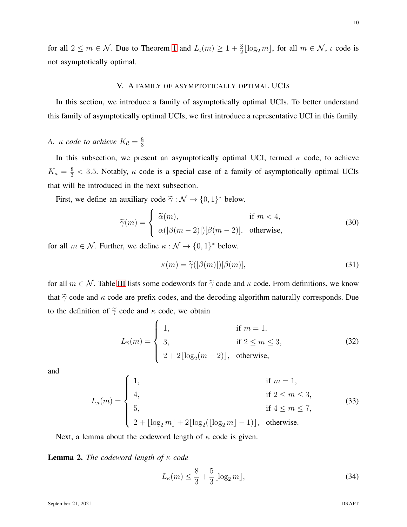<span id="page-9-0"></span>for all  $2 \le m \in \mathcal{N}$ . Due to Theorem [1](#page-2-1) and  $L_{\iota}(m) \ge 1 + \frac{3}{2} \lfloor \log_2 m \rfloor$ , for all  $m \in \mathcal{N}$ ,  $\iota$  code is not asymptotically optimal.

# V. A FAMILY OF ASYMPTOTICALLY OPTIMAL UCIS

In this section, we introduce a family of asymptotically optimal UCIs. To better understand this family of asymptotically optimal UCIs, we first introduce a representative UCI in this family.

#### *A.*  $\kappa$  *code to achieve*  $K_{\mathcal{C}} = \frac{8}{3}$ 3

In this subsection, we present an asymptotically optimal UCI, termed  $\kappa$  code, to achieve  $K_{\kappa} = \frac{8}{3} < 3.5$ . Notably,  $\kappa$  code is a special case of a family of asymptotically optimal UCIs that will be introduced in the next subsection.

First, we define an auxiliary code  $\tilde{\gamma} : \mathcal{N} \to \{0, 1\}^*$  below.

$$
\widetilde{\gamma}(m) = \begin{cases}\n\widetilde{\alpha}(m), & \text{if } m < 4, \\
\alpha(|\beta(m-2)|)[\beta(m-2)], & \text{otherwise,} \n\end{cases}
$$
\n(30)

for all  $m \in \mathcal{N}$ . Further, we define  $\kappa : \mathcal{N} \to \{0, 1\}^*$  below.

$$
\kappa(m) = \tilde{\gamma}(|\beta(m)|)[\beta(m)],\tag{31}
$$

for all  $m \in \mathcal{N}$ . Table [III](#page-10-0) lists some codewords for  $\tilde{\gamma}$  code and  $\kappa$  code. From definitions, we know that  $\tilde{\gamma}$  code and  $\kappa$  code are prefix codes, and the decoding algorithm naturally corresponds. Due to the definition of  $\tilde{\gamma}$  code and  $\kappa$  code, we obtain

$$
L_{\tilde{\gamma}}(m) = \begin{cases} 1, & \text{if } m = 1, \\ 3, & \text{if } 2 \le m \le 3, \\ 2 + 2\lfloor \log_2(m - 2) \rfloor, & \text{otherwise,} \end{cases} \tag{32}
$$

and

$$
L_{\kappa}(m) = \begin{cases} 1, & \text{if } m = 1, \\ 4, & \text{if } 2 \le m \le 3, \\ 5, & \text{if } 4 \le m \le 7, \\ 2 + \lfloor \log_2 m \rfloor + 2 \lfloor \log_2(\lfloor \log_2 m \rfloor - 1) \rfloor, & \text{otherwise.} \end{cases}
$$
(33)

Next, a lemma about the codeword length of  $\kappa$  code is given.

<span id="page-9-2"></span>Lemma 2. *The codeword length of* κ *code*

<span id="page-9-1"></span>
$$
L_{\kappa}(m) \le \frac{8}{3} + \frac{5}{3} \lfloor \log_2 m \rfloor,
$$
\n(34)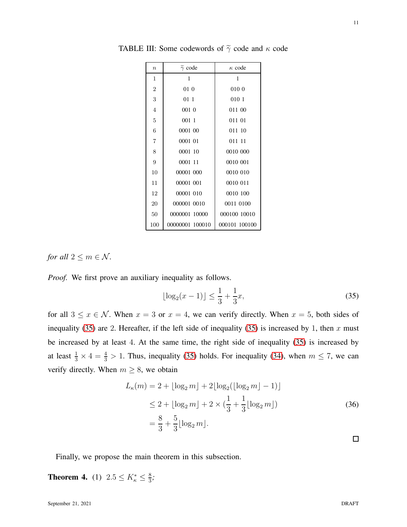| $\boldsymbol{n}$ | $\widetilde{\gamma}$ code | $\kappa$ code |
|------------------|---------------------------|---------------|
| 1                | 1                         | 1             |
| $\overline{2}$   | 01 0                      | 010 0         |
| 3                | 01 1                      | 010 1         |
| $\overline{4}$   | 001 0                     | 011 00        |
| 5                | 001 1                     | 011 01        |
| 6                | 0001 00                   | 011 10        |
| 7                | 0001 01                   | 011 11        |
| 8                | 0001 10                   | 0010 000      |
| 9                | 0001 11                   | 0010 001      |
| 10               | 00001 000                 | 0010 010      |
| 11               | 00001 001                 | 0010 011      |
| 12               | 00001 010                 | 0010 100      |
| 20               | 000001 0010               | 0011 0100     |
| 50               | 0000001 10000             | 000100 10010  |
| 100              | 00000001 100010           | 000101 100100 |

<span id="page-10-0"></span>TABLE III: Some codewords of  $\tilde{\gamma}$  code and  $\kappa$  code

*for all*  $2 \le m \in \mathcal{N}$ *.* 

*Proof.* We first prove an auxiliary inequality as follows.

<span id="page-10-1"></span>
$$
\lfloor \log_2(x-1) \rfloor \le \frac{1}{3} + \frac{1}{3}x,\tag{35}
$$

for all  $3 \le x \in \mathcal{N}$ . When  $x = 3$  or  $x = 4$ , we can verify directly. When  $x = 5$ , both sides of inequality [\(35\)](#page-10-1) are 2. Hereafter, if the left side of inequality [\(35\)](#page-10-1) is increased by 1, then x must be increased by at least 4. At the same time, the right side of inequality [\(35\)](#page-10-1) is increased by at least  $\frac{1}{3} \times 4 = \frac{4}{3} > 1$ . Thus, inequality [\(35\)](#page-10-1) holds. For inequality [\(34\)](#page-9-1), when  $m \le 7$ , we can verify directly. When  $m \geq 8$ , we obtain

$$
L_{\kappa}(m) = 2 + \lfloor \log_2 m \rfloor + 2\lfloor \log_2(\lfloor \log_2 m \rfloor - 1) \rfloor
$$
  
\n
$$
\leq 2 + \lfloor \log_2 m \rfloor + 2 \times (\frac{1}{3} + \frac{1}{3} \lfloor \log_2 m \rfloor)
$$
  
\n
$$
= \frac{8}{3} + \frac{5}{3} \lfloor \log_2 m \rfloor.
$$
\n(36)

Finally, we propose the main theorem in this subsection.

**Theorem 4.** (1)  $2.5 \le K_{\kappa}^* \le \frac{8}{3}$  $\frac{8}{3}$ ;  $\Box$ 

11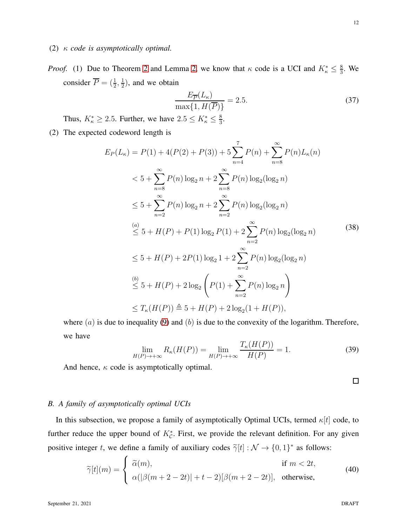- (2) κ *code is asymptotically optimal.*
- *Proof.* (1) Due to Theorem [2](#page-3-3) and Lemma [2,](#page-9-2) we know that  $\kappa$  code is a UCI and  $K_{\kappa}^* \leq \frac{8}{3}$  $\frac{8}{3}$ . We consider  $\overline{P} = (\frac{1}{2}, \frac{1}{2})$  $\frac{1}{2}$ ), and we obtain

$$
\frac{E_{\overline{P}}(L_{\kappa})}{\max\{1, H(\overline{P})\}} = 2.5.
$$
\n(37)

Thus,  $K_{\kappa}^* \geq 2.5$ . Further, we have  $2.5 \leq K_{\kappa}^* \leq \frac{8}{3}$  $\frac{8}{3}$ .

(2) The expected codeword length is

<span id="page-11-0"></span>
$$
E_P(L_{\kappa}) = P(1) + 4(P(2) + P(3)) + 5\sum_{n=4}^{7} P(n) + \sum_{n=8}^{\infty} P(n) L_{\kappa}(n)
$$
  
< 
$$
< 5 + \sum_{n=8}^{\infty} P(n) \log_2 n + 2 \sum_{n=8}^{\infty} P(n) \log_2(\log_2 n)
$$
  

$$
\leq 5 + \sum_{n=2}^{\infty} P(n) \log_2 n + 2 \sum_{n=2}^{\infty} P(n) \log_2(\log_2 n)
$$
  

$$
\leq 5 + H(P) + P(1) \log_2 P(1) + 2 \sum_{n=2}^{\infty} P(n) \log_2(\log_2 n)
$$
  

$$
\leq 5 + H(P) + 2P(1) \log_2 1 + 2 \sum_{n=2}^{\infty} P(n) \log_2(\log_2 n)
$$
  

$$
\leq 5 + H(P) + 2 \log_2 \left( P(1) + \sum_{n=2}^{\infty} P(n) \log_2 n \right)
$$
  

$$
\leq T_{\kappa}(H(P)) \triangleq 5 + H(P) + 2 \log_2 (1 + H(P)),
$$
 (12)

where  $(a)$  is due to inequality [\(9\)](#page-4-0) and  $(b)$  is due to the convexity of the logarithm. Therefore, we have

$$
\lim_{H(P)\to+\infty} R_{\kappa}(H(P)) = \lim_{H(P)\to+\infty} \frac{T_{\kappa}(H(P))}{H(P)} = 1.
$$
\n(39)

And hence,  $\kappa$  code is asymptotically optimal.

 $\Box$ 

# *B. A family of asymptotically optimal UCIs*

In this subsection, we propose a family of asymptotically Optimal UCIs, termed  $\kappa[t]$  code, to further reduce the upper bound of  $K_{\mathcal{C}}^*$ . First, we provide the relevant definition. For any given positive integer t, we define a family of auxiliary codes  $\tilde{\gamma}[t] : \mathcal{N} \to \{0, 1\}^*$  as follows:

$$
\widetilde{\gamma}[t](m) = \begin{cases}\n\widetilde{\alpha}(m), & \text{if } m < 2t, \\
\alpha(|\beta(m+2-2t)|+t-2)[\beta(m+2-2t)], & \text{otherwise,} \n\end{cases}
$$
\n(40)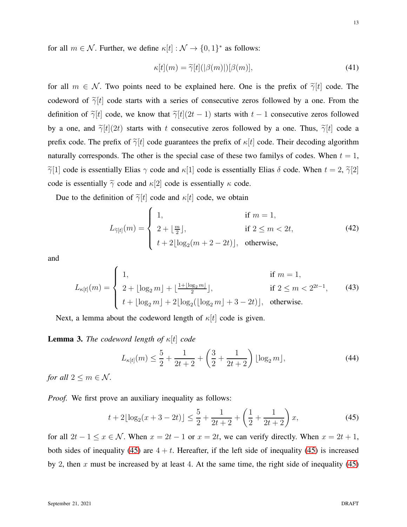for all  $m \in \mathcal{N}$ . Further, we define  $\kappa[t] : \mathcal{N} \to \{0, 1\}^*$  as follows:

$$
\kappa[t](m) = \tilde{\gamma}[t](|\beta(m)|)[\beta(m)],\tag{41}
$$

for all  $m \in \mathcal{N}$ . Two points need to be explained here. One is the prefix of  $\tilde{\gamma}[t]$  code. The codeword of  $\tilde{\gamma}[t]$  code starts with a series of consecutive zeros followed by a one. From the definition of  $\tilde{\gamma}[t]$  code, we know that  $\tilde{\gamma}[t](2t-1)$  starts with  $t-1$  consecutive zeros followed by a one, and  $\tilde{\gamma}[t](2t)$  starts with t consecutive zeros followed by a one. Thus,  $\tilde{\gamma}[t]$  code a prefix code. The prefix of  $\tilde{\gamma}[t]$  code guarantees the prefix of  $\kappa[t]$  code. Their decoding algorithm naturally corresponds. The other is the special case of these two familys of codes. When  $t = 1$ ,  $\tilde{\gamma}[1]$  code is essentially Elias  $\gamma$  code and  $\kappa[1]$  code is essentially Elias  $\delta$  code. When  $t = 2$ ,  $\tilde{\gamma}[2]$ code is essentially  $\tilde{\gamma}$  code and  $\kappa$ [2] code is essentially  $\kappa$  code.

Due to the definition of  $\tilde{\gamma}[t]$  code and  $\kappa[t]$  code, we obtain

$$
L_{\tilde{\gamma}[t]}(m) = \begin{cases} 1, & \text{if } m = 1, \\ 2 + \lfloor \frac{m}{2} \rfloor, & \text{if } 2 \le m < 2t, \\ t + 2\lfloor \log_2(m + 2 - 2t) \rfloor, & \text{otherwise,} \end{cases} \tag{42}
$$

and

$$
L_{\kappa[t]}(m) = \begin{cases} 1, & \text{if } m = 1, \\ 2 + \lfloor \log_2 m \rfloor + \lfloor \frac{1 + \lfloor \log_2 m \rfloor}{2} \rfloor, & \text{if } 2 \le m < 2^{2t-1}, \\ t + \lfloor \log_2 m \rfloor + 2\lfloor \log_2(\lfloor \log_2 m \rfloor + 3 - 2t) \rfloor, & \text{otherwise.} \end{cases}
$$
(43)

Next, a lemma about the codeword length of  $\kappa[t]$  code is given.

<span id="page-12-2"></span>Lemma 3. *The codeword length of* κ[t] *code*

<span id="page-12-1"></span>
$$
L_{\kappa[t]}(m) \le \frac{5}{2} + \frac{1}{2t+2} + \left(\frac{3}{2} + \frac{1}{2t+2}\right) \lfloor \log_2 m \rfloor, \tag{44}
$$

*for all*  $2 \le m \in \mathcal{N}$ *.* 

*Proof.* We first prove an auxiliary inequality as follows:

<span id="page-12-0"></span>
$$
t + 2\lfloor \log_2(x+3-2t) \rfloor \le \frac{5}{2} + \frac{1}{2t+2} + \left(\frac{1}{2} + \frac{1}{2t+2}\right)x,\tag{45}
$$

for all  $2t - 1 \le x \in \mathcal{N}$ . When  $x = 2t - 1$  or  $x = 2t$ , we can verify directly. When  $x = 2t + 1$ , both sides of inequality [\(45\)](#page-12-0) are  $4 + t$ . Hereafter, if the left side of inequality [\(45\)](#page-12-0) is increased by 2, then x must be increased by at least 4. At the same time, the right side of inequality  $(45)$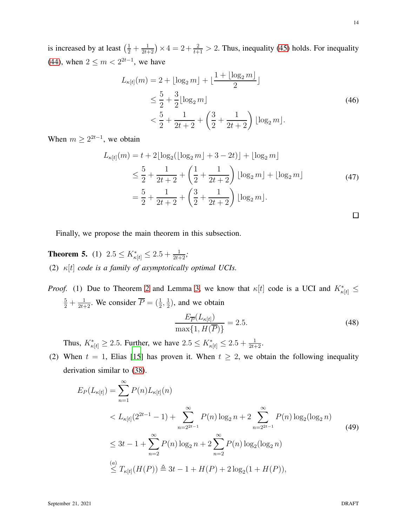is increased by at least  $(\frac{1}{2} + \frac{1}{2t+2}) \times 4 = 2 + \frac{2}{t+1} > 2$ . Thus, inequality [\(45\)](#page-12-0) holds. For inequality [\(44\)](#page-12-1), when  $2 \le m < 2^{2t-1}$ , we have

$$
L_{\kappa[t]}(m) = 2 + \lfloor \log_2 m \rfloor + \lfloor \frac{1 + \lfloor \log_2 m \rfloor}{2} \rfloor
$$
  
\n
$$
\leq \frac{5}{2} + \frac{3}{2} \lfloor \log_2 m \rfloor
$$
  
\n
$$
< \frac{5}{2} + \frac{1}{2t + 2} + \left(\frac{3}{2} + \frac{1}{2t + 2}\right) \lfloor \log_2 m \rfloor.
$$
\n(46)

When  $m \geq 2^{2t-1}$ , we obtain

$$
L_{\kappa[t]}(m) = t + 2\lfloor \log_2(\lfloor \log_2 m \rfloor + 3 - 2t) \rfloor + \lfloor \log_2 m \rfloor
$$
  
\n
$$
\leq \frac{5}{2} + \frac{1}{2t + 2} + \left(\frac{1}{2} + \frac{1}{2t + 2}\right) \lfloor \log_2 m \rfloor + \lfloor \log_2 m \rfloor
$$
  
\n
$$
= \frac{5}{2} + \frac{1}{2t + 2} + \left(\frac{3}{2} + \frac{1}{2t + 2}\right) \lfloor \log_2 m \rfloor.
$$
\n(47)

Finally, we propose the main theorem in this subsection.

**Theorem 5.** (1)  $2.5 \le K_{\kappa[t]}^* \le 2.5 + \frac{1}{2t+2}$ ; (2) κ[t] *code is a family of asymptotically optimal UCIs.*

*Proof.* (1) Due to Theorem [2](#page-3-3) and Lemma [3,](#page-12-2) we know that  $\kappa[t]$  code is a UCI and  $K^*_{\kappa[t]} \leq$  $\frac{5}{2} + \frac{1}{2t+2}$ . We consider  $\overline{P} = (\frac{1}{2}, \frac{1}{2})$  $(\frac{1}{2})$ , and we obtain

$$
\frac{E_{\overline{P}}(L_{\kappa[t]})}{\max\{1, H(\overline{P})\}} = 2.5.
$$
\n(48)

Thus,  $K^*_{\kappa[t]} \ge 2.5$ . Further, we have  $2.5 \le K^*_{\kappa[t]} \le 2.5 + \frac{1}{2t+2}$ .

(2) When  $t = 1$ , Elias [\[15\]](#page-19-7) has proven it. When  $t \geq 2$ , we obtain the following inequality derivation similar to [\(38\)](#page-11-0).

$$
E_P(L_{\kappa[t]}) = \sum_{n=1}^{\infty} P(n) L_{\kappa[t]}(n)
$$
  

$$
< L_{\kappa[t]}(2^{2t-1} - 1) + \sum_{n=2^{2t-1}}^{\infty} P(n) \log_2 n + 2 \sum_{n=2^{2t-1}}^{\infty} P(n) \log_2(\log_2 n)
$$
  

$$
\leq 3t - 1 + \sum_{n=2}^{\infty} P(n) \log_2 n + 2 \sum_{n=2}^{\infty} P(n) \log_2(\log_2 n)
$$
  

$$
\leq T_{\kappa[t]}(H(P)) \triangleq 3t - 1 + H(P) + 2 \log_2(1 + H(P)),
$$
 (49)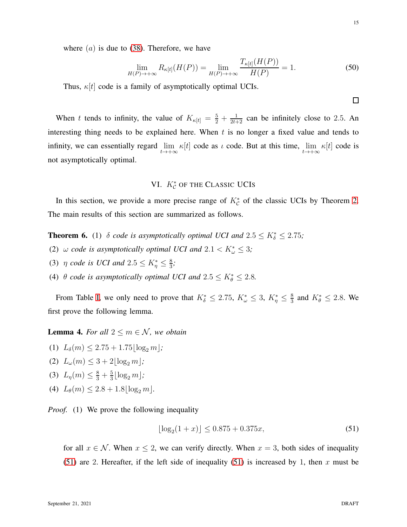$\Box$ 

where  $(a)$  is due to [\(38\)](#page-11-0). Therefore, we have

$$
\lim_{H(P)\to+\infty} R_{\kappa[t]}(H(P)) = \lim_{H(P)\to+\infty} \frac{T_{\kappa[t]}(H(P))}{H(P)} = 1.
$$
\n(50)

Thus,  $\kappa[t]$  code is a family of asymptotically optimal UCIs.

When t tends to infinity, the value of  $K_{\kappa[t]} = \frac{5}{2} + \frac{1}{2t+2}$  can be infinitely close to 2.5. An interesting thing needs to be explained here. When  $t$  is no longer a fixed value and tends to infinity, we can essentially regard  $\lim_{t\to+\infty} \kappa[t]$  code as  $\iota$  code. But at this time,  $\lim_{t\to+\infty} \kappa[t]$  code is not asymptotically optimal.

# VI.  $K_{\mathcal{C}}^*$  of the Classic UCIs

<span id="page-14-0"></span>In this section, we provide a more precise range of  $K_C^*$  of the classic UCIs by Theorem [2.](#page-3-3) The main results of this section are summarized as follows.

**Theorem 6.** (1)  $\delta$  *code is asymptotically optimal UCI and*  $2.5 \le K_{\delta}^* \le 2.75$ ;

- (2)  $\omega$  *code is asymptotically optimal UCI and*  $2.1 < K^*_{\omega} \leq 3$ ;
- (3)  $\eta$  *code is UCI and*  $2.5 \leq K_{\eta}^* \leq \frac{8}{3}$ 3 *;*
- (4)  $\theta$  *code is asymptotically optimal UCI and*  $2.5 \leq K^*_{\theta} \leq 2.8$ *.*

From Table [I,](#page-3-1) we only need to prove that  $K^*_{\delta} \leq 2.75$ ,  $K^*_{\omega} \leq 3$ ,  $K^*_{\eta} \leq \frac{8}{3}$  $\frac{8}{3}$  and  $K_{\theta}^* \leq 2.8$ . We first prove the following lemma.

<span id="page-14-2"></span>**Lemma 4.** For all  $2 \le m \in \mathcal{N}$ , we obtain

- (1)  $L_{\delta}(m) \leq 2.75 + 1.75 \log_2 m$ ;
- (2)  $L_{\omega}(m) \leq 3 + 2|\log_2 m|$ ;
- (3)  $L_{\eta}(m) \leq \frac{8}{3} + \frac{5}{3}$  $\frac{5}{3}$ [log<sub>2</sub> m];
- (4)  $L_{\theta}(m) \leq 2.8 + 1.8 \log_2 m$ .

*Proof.* (1) We prove the following inequality

<span id="page-14-1"></span>
$$
\lfloor \log_2(1+x) \rfloor \le 0.875 + 0.375x,\tag{51}
$$

for all  $x \in \mathcal{N}$ . When  $x \leq 2$ , we can verify directly. When  $x = 3$ , both sides of inequality [\(51\)](#page-14-1) are 2. Hereafter, if the left side of inequality [\(51\)](#page-14-1) is increased by 1, then x must be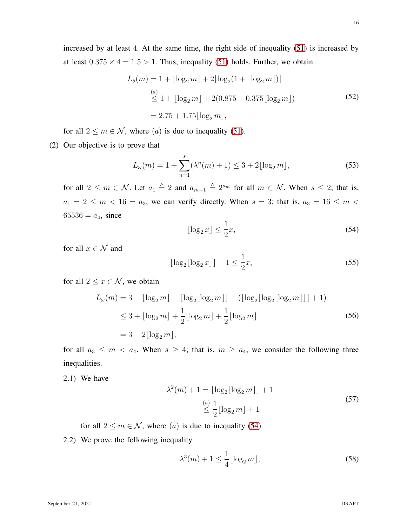increased by at least 4. At the same time, the right side of inequality [\(51\)](#page-14-1) is increased by at least  $0.375 \times 4 = 1.5 > 1$ . Thus, inequality [\(51\)](#page-14-1) holds. Further, we obtain

$$
L_{\delta}(m) = 1 + \lfloor \log_2 m \rfloor + 2\lfloor \log_2 (1 + \lfloor \log_2 m \rfloor) \rfloor
$$
  
\n
$$
\stackrel{(a)}{\leq} 1 + \lfloor \log_2 m \rfloor + 2(0.875 + 0.375 \lfloor \log_2 m \rfloor)
$$
  
\n
$$
= 2.75 + 1.75 \lfloor \log_2 m \rfloor,
$$
\n(52)

for all  $2 \le m \in \mathcal{N}$ , where  $(a)$  is due to inequality [\(51\)](#page-14-1).

(2) Our objective is to prove that

$$
L_{\omega}(m) = 1 + \sum_{n=1}^{s} (\lambda^n(m) + 1) \le 3 + 2\lfloor \log_2 m \rfloor,
$$
 (53)

for all  $2 \leq m \in \mathcal{N}$ . Let  $a_1 \triangleq 2$  and  $a_{m+1} \triangleq 2^{a_m}$  for all  $m \in \mathcal{N}$ . When  $s \leq 2$ ; that is,  $a_1 = 2 \le m < 16 = a_3$ , we can verify directly. When  $s = 3$ ; that is,  $a_3 = 16 \le m <$  $65536 = a_4$ , since

<span id="page-15-0"></span>
$$
\lfloor \log_2 x \rfloor \le \frac{1}{2}x,\tag{54}
$$

for all  $x \in \mathcal{N}$  and

$$
\lfloor \log_2 \lfloor \log_2 x \rfloor \rfloor + 1 \le \frac{1}{2}x,\tag{55}
$$

for all  $2 \leq x \in \mathcal{N}$ , we obtain

$$
L_{\omega}(m) = 3 + \lfloor \log_2 m \rfloor + \lfloor \log_2 \lfloor \log_2 m \rfloor \rfloor + (\lfloor \log_2 \lfloor \log_2 \lfloor \log_2 m \rfloor \rfloor + 1)
$$
  
\n
$$
\leq 3 + \lfloor \log_2 m \rfloor + \frac{1}{2} \lfloor \log_2 m \rfloor + \frac{1}{2} \lfloor \log_2 m \rfloor
$$
  
\n
$$
= 3 + 2 \lfloor \log_2 m \rfloor,
$$
\n(56)

for all  $a_3 \leq m < a_4$ . When  $s \geq 4$ ; that is,  $m \geq a_4$ , we consider the following three inequalities.

2.1) We have

<span id="page-15-2"></span>
$$
\lambda^{2}(m) + 1 = \lfloor \log_2 \lfloor \log_2 m \rfloor \rfloor + 1
$$
  
\n
$$
\stackrel{(a)}{\leq} \frac{1}{2} \lfloor \log_2 m \rfloor + 1
$$
\n(57)

for all  $2 \le m \in \mathcal{N}$ , where  $(a)$  is due to inequality [\(54\)](#page-15-0).

2.2) We prove the following inequality

<span id="page-15-1"></span>
$$
\lambda^3(m) + 1 \le \frac{1}{4} \lfloor \log_2 m \rfloor,\tag{58}
$$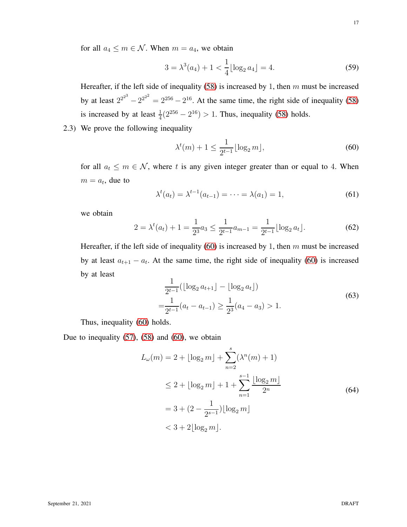for all  $a_4 \leq m \in \mathcal{N}$ . When  $m = a_4$ , we obtain

$$
3 = \lambda^3(a_4) + 1 < \frac{1}{4} \lfloor \log_2 a_4 \rfloor = 4. \tag{59}
$$

Hereafter, if the left side of inequality  $(58)$  is increased by 1, then m must be increased by at least  $2^{2^{2^3}} - 2^{2^{2^2}} = 2^{256} - 2^{16}$ . At the same time, the right side of inequality [\(58\)](#page-15-1) is increased by at least  $\frac{1}{4}(2^{256} - 2^{16}) > 1$ . Thus, inequality [\(58\)](#page-15-1) holds.

2.3) We prove the following inequality

<span id="page-16-0"></span>
$$
\lambda^{t}(m) + 1 \le \frac{1}{2^{t-1}} \lfloor \log_2 m \rfloor, \tag{60}
$$

for all  $a_t \leq m \in \mathcal{N}$ , where t is any given integer greater than or equal to 4. When  $m = a_t$ , due to

$$
\lambda^{t}(a_{t}) = \lambda^{t-1}(a_{t-1}) = \dots = \lambda(a_{1}) = 1,
$$
\n(61)

we obtain

$$
2 = \lambda^{t}(a_{t}) + 1 = \frac{1}{2^{3}} a_{3} \le \frac{1}{2^{t-1}} a_{m-1} = \frac{1}{2^{t-1}} \lfloor \log_{2} a_{t} \rfloor.
$$
 (62)

Hereafter, if the left side of inequality [\(60\)](#page-16-0) is increased by 1, then  $m$  must be increased by at least  $a_{t+1} - a_t$ . At the same time, the right side of inequality [\(60\)](#page-16-0) is increased by at least

$$
\frac{1}{2^{t-1}} (\lfloor \log_2 a_{t+1} \rfloor - \lfloor \log_2 a_t \rfloor)
$$
\n
$$
= \frac{1}{2^{t-1}} (a_t - a_{t-1}) \ge \frac{1}{2^3} (a_4 - a_3) > 1.
$$
\n(63)

Thus, inequality [\(60\)](#page-16-0) holds.

Due to inequality  $(57)$ ,  $(58)$  and  $(60)$ , we obtain

$$
L_{\omega}(m) = 2 + \lfloor \log_2 m \rfloor + \sum_{n=2}^{s} (\lambda^n(m) + 1)
$$
  
\n
$$
\leq 2 + \lfloor \log_2 m \rfloor + 1 + \sum_{n=1}^{s-1} \frac{\lfloor \log_2 m \rfloor}{2^n}
$$
  
\n
$$
= 3 + (2 - \frac{1}{2^{s-1}}) \lfloor \log_2 m \rfloor
$$
  
\n
$$
< 3 + 2 \lfloor \log_2 m \rfloor.
$$
 (64)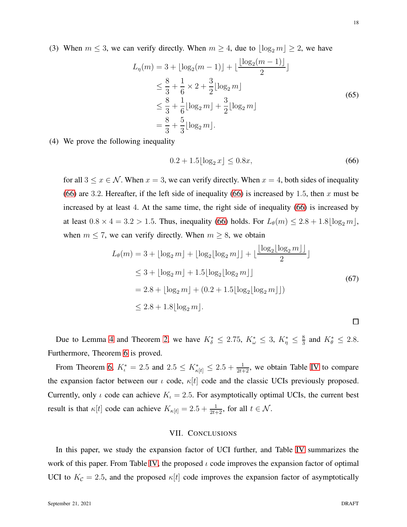(3) When  $m \leq 3$ , we can verify directly. When  $m \geq 4$ , due to  $\lfloor \log_2 m \rfloor \geq 2$ , we have

$$
L_{\eta}(m) = 3 + \lfloor \log_2(m-1) \rfloor + \lfloor \frac{\lfloor \log_2(m-1) \rfloor}{2} \rfloor
$$
  
\n
$$
\leq \frac{8}{3} + \frac{1}{6} \times 2 + \frac{3}{2} \lfloor \log_2 m \rfloor
$$
  
\n
$$
\leq \frac{8}{3} + \frac{1}{6} \lfloor \log_2 m \rfloor + \frac{3}{2} \lfloor \log_2 m \rfloor
$$
  
\n
$$
= \frac{8}{3} + \frac{5}{3} \lfloor \log_2 m \rfloor.
$$
 (65)

(4) We prove the following inequality

<span id="page-17-1"></span>
$$
0.2 + 1.5\lfloor \log_2 x \rfloor \le 0.8x,\tag{66}
$$

for all  $3 \le x \in \mathcal{N}$ . When  $x = 3$ , we can verify directly. When  $x = 4$ , both sides of inequality [\(66\)](#page-17-1) are 3.2. Hereafter, if the left side of inequality [\(66\)](#page-17-1) is increased by 1.5, then  $x$  must be increased by at least 4. At the same time, the right side of inequality [\(66\)](#page-17-1) is increased by at least  $0.8 \times 4 = 3.2 > 1.5$ . Thus, inequality [\(66\)](#page-17-1) holds. For  $L_{\theta}(m) \leq 2.8 + 1.8 \lfloor \log_2 m \rfloor$ . when  $m \le 7$ , we can verify directly. When  $m \ge 8$ , we obtain

$$
L_{\theta}(m) = 3 + \lfloor \log_2 m \rfloor + \lfloor \log_2 \lfloor \log_2 m \rfloor \rfloor + \lfloor \frac{\lfloor \log_2 \lfloor \log_2 m \rfloor \rfloor}{2} \rfloor
$$
  
\n
$$
\leq 3 + \lfloor \log_2 m \rfloor + 1.5 \lfloor \log_2 \lfloor \log_2 m \rfloor \rfloor
$$
  
\n
$$
= 2.8 + \lfloor \log_2 m \rfloor + (0.2 + 1.5 \lfloor \log_2 \lfloor \log_2 m \rfloor \rfloor)
$$
  
\n
$$
\leq 2.8 + 1.8 \lfloor \log_2 m \rfloor.
$$
 (67)

Due to Lemma [4](#page-14-2) and Theorem [2,](#page-3-3) we have  $K^*_{\delta} \leq 2.75$ ,  $K^*_{\omega} \leq 3$ ,  $K^*_{\eta} \leq \frac{8}{3}$  $\frac{8}{3}$  and  $K_{\theta}^* \leq 2.8$ . Furthermore, Theorem 6 is proved.

From Theorem 6,  $K_t^* = 2.5$  and  $2.5 \le K_{\kappa[t]}^* \le 2.5 + \frac{1}{2t+2}$ , we obtain Table [IV](#page-18-6) to compare the expansion factor between our  $\iota$  code,  $\kappa|t|$  code and the classic UCIs previously proposed. Currently, only  $\iota$  code can achieve  $K_{\iota} = 2.5$ . For asymptotically optimal UCIs, the current best result is that  $\kappa[t]$  code can achieve  $K_{\kappa[t]} = 2.5 + \frac{1}{2t+2}$ , for all  $t \in \mathcal{N}$ .

# VII. CONCLUSIONS

<span id="page-17-0"></span>In this paper, we study the expansion factor of UCI further, and Table [IV](#page-18-6) summarizes the work of this paper. From Table [IV,](#page-18-6) the proposed  $\iota$  code improves the expansion factor of optimal UCI to  $K_c = 2.5$ , and the proposed  $\kappa[t]$  code improves the expansion factor of asymptotically

 $\Box$ 

18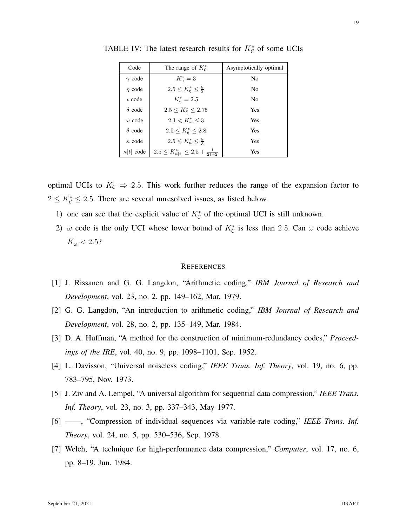| Code             | The range of $K_c^*$                                 | Asymptotically optimal |
|------------------|------------------------------------------------------|------------------------|
| $\gamma$ code    | $K^*_{\gamma}=3$                                     | N <sub>0</sub>         |
| $\eta$ code      | $2.5 \leq K_n^* \leq \frac{8}{3}$                    | N <sub>0</sub>         |
| $\iota$ code     | $K_{\iota}^* = 2.5$                                  | N <sub>0</sub>         |
| $\delta$ code    | $2.5 \leq K_{\delta}^* \leq 2.75$                    | Yes                    |
| $\omega$ code    | $2.1 < K_{\omega}^* \leq 3$                          | Yes                    |
| $\theta$ code    | $2.5 \le K^*_{\theta} \le 2.8$                       | Yes                    |
| $\kappa$ code    | $2.5 \le K_{\kappa}^{*} \le \frac{8}{3}$             | Yes                    |
| $\kappa t $ code | $2.5 \leq K_{\kappa[t]}^* \leq 2.5 + \frac{1}{2t+2}$ | Yes                    |

<span id="page-18-6"></span>TABLE IV: The latest research results for  $K_C^*$  of some UCIs

optimal UCIs to  $K_c \Rightarrow 2.5$ . This work further reduces the range of the expansion factor to  $2 \leq K_C^* \leq 2.5$ . There are several unresolved issues, as listed below.

- 1) one can see that the explicit value of  $K_C^*$  of the optimal UCI is still unknown.
- 2)  $\omega$  code is the only UCI whose lower bound of  $K_c^*$  is less than 2.5. Can  $\omega$  code achieve  $K_{\omega}$  < 2.5?

### **REFERENCES**

- <span id="page-18-0"></span>[1] J. Rissanen and G. G. Langdon, "Arithmetic coding," *IBM Journal of Research and Development*, vol. 23, no. 2, pp. 149–162, Mar. 1979.
- <span id="page-18-1"></span>[2] G. G. Langdon, "An introduction to arithmetic coding," *IBM Journal of Research and Development*, vol. 28, no. 2, pp. 135–149, Mar. 1984.
- <span id="page-18-2"></span>[3] D. A. Huffman, "A method for the construction of minimum-redundancy codes," *Proceedings of the IRE*, vol. 40, no. 9, pp. 1098–1101, Sep. 1952.
- <span id="page-18-3"></span>[4] L. Davisson, "Universal noiseless coding," *IEEE Trans. Inf. Theory*, vol. 19, no. 6, pp. 783–795, Nov. 1973.
- <span id="page-18-4"></span>[5] J. Ziv and A. Lempel, "A universal algorithm for sequential data compression," *IEEE Trans. Inf. Theory*, vol. 23, no. 3, pp. 337–343, May 1977.
- [6] ——, "Compression of individual sequences via variable-rate coding," *IEEE Trans. Inf. Theory*, vol. 24, no. 5, pp. 530–536, Sep. 1978.
- <span id="page-18-5"></span>[7] Welch, "A technique for high-performance data compression," *Computer*, vol. 17, no. 6, pp. 8–19, Jun. 1984.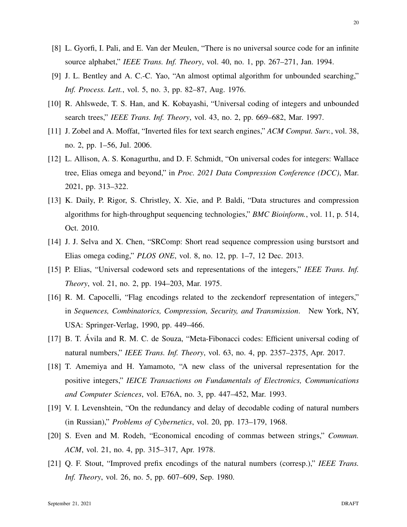- <span id="page-19-0"></span>[8] L. Gyorfi, I. Pali, and E. Van der Meulen, "There is no universal source code for an infinite source alphabet," *IEEE Trans. Inf. Theory*, vol. 40, no. 1, pp. 267–271, Jan. 1994.
- <span id="page-19-1"></span>[9] J. L. Bentley and A. C.-C. Yao, "An almost optimal algorithm for unbounded searching," *Inf. Process. Lett.*, vol. 5, no. 3, pp. 82–87, Aug. 1976.
- <span id="page-19-2"></span>[10] R. Ahlswede, T. S. Han, and K. Kobayashi, "Universal coding of integers and unbounded search trees," *IEEE Trans. Inf. Theory*, vol. 43, no. 2, pp. 669–682, Mar. 1997.
- <span id="page-19-3"></span>[11] J. Zobel and A. Moffat, "Inverted files for text search engines," *ACM Comput. Surv.*, vol. 38, no. 2, pp. 1–56, Jul. 2006.
- <span id="page-19-4"></span>[12] L. Allison, A. S. Konagurthu, and D. F. Schmidt, "On universal codes for integers: Wallace tree, Elias omega and beyond," in *Proc. 2021 Data Compression Conference (DCC)*, Mar. 2021, pp. 313–322.
- <span id="page-19-5"></span>[13] K. Daily, P. Rigor, S. Christley, X. Xie, and P. Baldi, "Data structures and compression algorithms for high-throughput sequencing technologies," *BMC Bioinform.*, vol. 11, p. 514, Oct. 2010.
- <span id="page-19-6"></span>[14] J. J. Selva and X. Chen, "SRComp: Short read sequence compression using burstsort and Elias omega coding," *PLOS ONE*, vol. 8, no. 12, pp. 1–7, 12 Dec. 2013.
- <span id="page-19-7"></span>[15] P. Elias, "Universal codeword sets and representations of the integers," *IEEE Trans. Inf. Theory*, vol. 21, no. 2, pp. 194–203, Mar. 1975.
- <span id="page-19-8"></span>[16] R. M. Capocelli, "Flag encodings related to the zeckendorf representation of integers," in *Sequences, Combinatorics, Compression, Security, and Transmission*. New York, NY, USA: Springer-Verlag, 1990, pp. 449–466.
- <span id="page-19-9"></span>[17] B. T. Avila and R. M. C. de Souza, "Meta-Fibonacci codes: Efficient universal coding of natural numbers," *IEEE Trans. Inf. Theory*, vol. 63, no. 4, pp. 2357–2375, Apr. 2017.
- <span id="page-19-10"></span>[18] T. Amemiya and H. Yamamoto, "A new class of the universal representation for the positive integers," *IEICE Transactions on Fundamentals of Electronics, Communications and Computer Sciences*, vol. E76A, no. 3, pp. 447–452, Mar. 1993.
- <span id="page-19-11"></span>[19] V. I. Levenshtein, "On the redundancy and delay of decodable coding of natural numbers (in Russian)," *Problems of Cybernetics*, vol. 20, pp. 173–179, 1968.
- [20] S. Even and M. Rodeh, "Economical encoding of commas between strings," *Commun. ACM*, vol. 21, no. 4, pp. 315–317, Apr. 1978.
- [21] Q. F. Stout, "Improved prefix encodings of the natural numbers (corresp.)," *IEEE Trans. Inf. Theory*, vol. 26, no. 5, pp. 607–609, Sep. 1980.